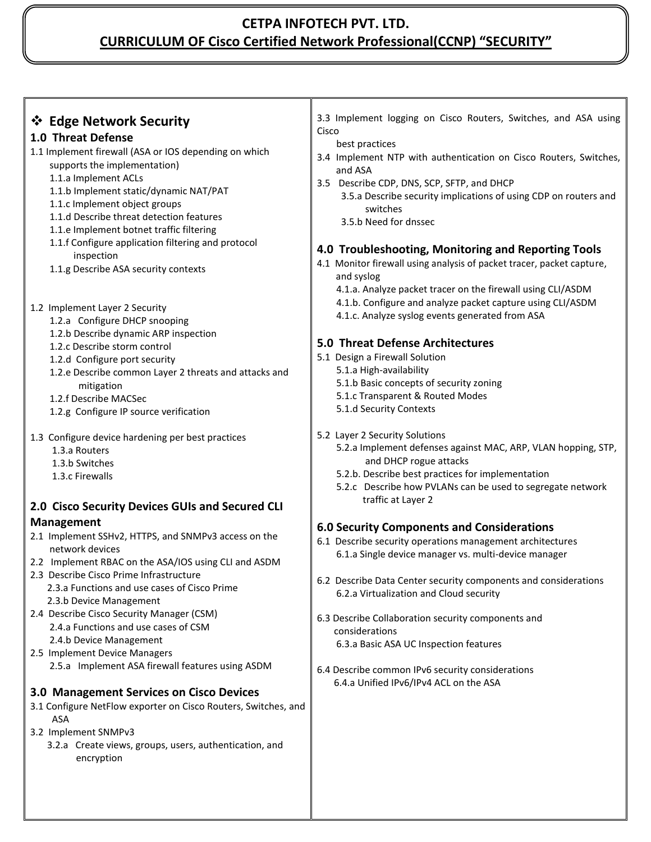## **CETPA INFOTECH PVT. LTD. CURRICULUM OF Cisco Certified Network Professional(CCNP) "SECURITY"**

| ❖ Edge Network Security                                                               | 3.3 Implement logging on Cisco Routers, Switches, and ASA using              |  |  |
|---------------------------------------------------------------------------------------|------------------------------------------------------------------------------|--|--|
|                                                                                       | Cisco                                                                        |  |  |
| 1.0 Threat Defense                                                                    | best practices                                                               |  |  |
| 1.1 Implement firewall (ASA or IOS depending on which<br>supports the implementation) | 3.4 Implement NTP with authentication on Cisco Routers, Switches,<br>and ASA |  |  |
| 1.1.a Implement ACLs                                                                  | 3.5 Describe CDP, DNS, SCP, SFTP, and DHCP                                   |  |  |
| 1.1.b Implement static/dynamic NAT/PAT                                                | 3.5.a Describe security implications of using CDP on routers and             |  |  |
| 1.1.c Implement object groups                                                         | switches                                                                     |  |  |
| 1.1.d Describe threat detection features                                              |                                                                              |  |  |
| 1.1.e Implement botnet traffic filtering                                              | 3.5.b Need for dnssec                                                        |  |  |
| 1.1.f Configure application filtering and protocol                                    |                                                                              |  |  |
|                                                                                       | 4.0 Troubleshooting, Monitoring and Reporting Tools                          |  |  |
| inspection                                                                            | 4.1 Monitor firewall using analysis of packet tracer, packet capture,        |  |  |
| 1.1.g Describe ASA security contexts                                                  | and syslog                                                                   |  |  |
|                                                                                       | 4.1.a. Analyze packet tracer on the firewall using CLI/ASDM                  |  |  |
|                                                                                       |                                                                              |  |  |
| 1.2 Implement Layer 2 Security                                                        | 4.1.b. Configure and analyze packet capture using CLI/ASDM                   |  |  |
| 1.2.a Configure DHCP snooping                                                         | 4.1.c. Analyze syslog events generated from ASA                              |  |  |
| 1.2.b Describe dynamic ARP inspection                                                 |                                                                              |  |  |
| 1.2.c Describe storm control                                                          | 5.0 Threat Defense Architectures                                             |  |  |
| 1.2.d Configure port security                                                         | 5.1 Design a Firewall Solution                                               |  |  |
|                                                                                       | 5.1.a High-availability                                                      |  |  |
| 1.2.e Describe common Layer 2 threats and attacks and                                 | 5.1.b Basic concepts of security zoning                                      |  |  |
| mitigation                                                                            |                                                                              |  |  |
| 1.2.f Describe MACSec                                                                 | 5.1.c Transparent & Routed Modes                                             |  |  |
| 1.2.g Configure IP source verification                                                | 5.1.d Security Contexts                                                      |  |  |
|                                                                                       |                                                                              |  |  |
| 1.3 Configure device hardening per best practices                                     | 5.2 Layer 2 Security Solutions                                               |  |  |
| 1.3.a Routers                                                                         | 5.2.a Implement defenses against MAC, ARP, VLAN hopping, STP,                |  |  |
| 1.3.b Switches                                                                        | and DHCP rogue attacks                                                       |  |  |
| 1.3.c Firewalls                                                                       | 5.2.b. Describe best practices for implementation                            |  |  |
|                                                                                       | 5.2.c Describe how PVLANs can be used to segregate network                   |  |  |
| 2.0 Cisco Security Devices GUIs and Secured CLI                                       | traffic at Layer 2                                                           |  |  |
|                                                                                       |                                                                              |  |  |
| <b>Management</b>                                                                     | <b>6.0 Security Components and Considerations</b>                            |  |  |
| 2.1 Implement SSHv2, HTTPS, and SNMPv3 access on the                                  | 6.1 Describe security operations management architectures                    |  |  |
| network devices                                                                       | 6.1.a Single device manager vs. multi-device manager                         |  |  |
| 2.2 Implement RBAC on the ASA/IOS using CLI and ASDM                                  |                                                                              |  |  |
| 2.3 Describe Cisco Prime Infrastructure                                               | 6.2 Describe Data Center security components and considerations              |  |  |
| 2.3.a Functions and use cases of Cisco Prime                                          |                                                                              |  |  |
| 2.3.b Device Management                                                               | 6.2.a Virtualization and Cloud security                                      |  |  |
| 2.4 Describe Cisco Security Manager (CSM)                                             |                                                                              |  |  |
| 2.4.a Functions and use cases of CSM                                                  | 6.3 Describe Collaboration security components and                           |  |  |
| 2.4.b Device Management                                                               | considerations                                                               |  |  |
| 2.5 Implement Device Managers                                                         | 6.3.a Basic ASA UC Inspection features                                       |  |  |
|                                                                                       |                                                                              |  |  |
| 2.5.a Implement ASA firewall features using ASDM                                      | 6.4 Describe common IPv6 security considerations                             |  |  |
|                                                                                       | 6.4.a Unified IPv6/IPv4 ACL on the ASA                                       |  |  |
| 3.0 Management Services on Cisco Devices                                              |                                                                              |  |  |
| 3.1 Configure NetFlow exporter on Cisco Routers, Switches, and<br><b>ASA</b>          |                                                                              |  |  |
| 3.2 Implement SNMPv3                                                                  |                                                                              |  |  |
| 3.2.a Create views, groups, users, authentication, and                                |                                                                              |  |  |
| encryption                                                                            |                                                                              |  |  |
|                                                                                       |                                                                              |  |  |
|                                                                                       |                                                                              |  |  |
|                                                                                       |                                                                              |  |  |
|                                                                                       |                                                                              |  |  |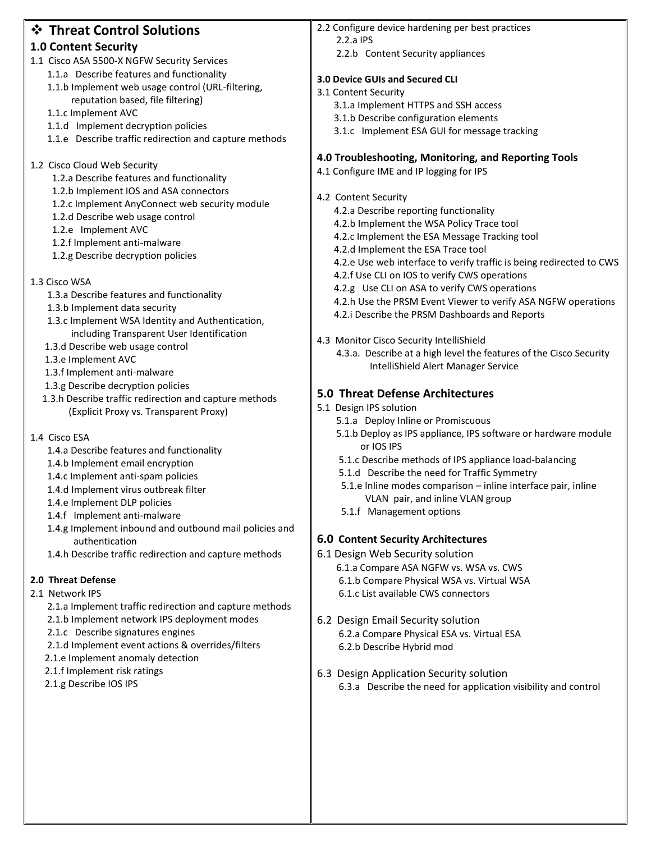| ❖ Threat Control Solutions                                                    | 2.2 Configure device hardening per best practices                                                              |  |
|-------------------------------------------------------------------------------|----------------------------------------------------------------------------------------------------------------|--|
|                                                                               | 2.2.a IPS                                                                                                      |  |
| <b>1.0 Content Security</b>                                                   | 2.2.b Content Security appliances                                                                              |  |
| 1.1 Cisco ASA 5500-X NGFW Security Services                                   |                                                                                                                |  |
| 1.1.a Describe features and functionality                                     | 3.0 Device GUIs and Secured CLI                                                                                |  |
| 1.1.b Implement web usage control (URL-filtering,                             | 3.1 Content Security                                                                                           |  |
| reputation based, file filtering)                                             | 3.1.a Implement HTTPS and SSH access                                                                           |  |
| 1.1.c Implement AVC                                                           | 3.1.b Describe configuration elements                                                                          |  |
| 1.1.d Implement decryption policies                                           | 3.1.c Implement ESA GUI for message tracking                                                                   |  |
| 1.1.e Describe traffic redirection and capture methods                        |                                                                                                                |  |
|                                                                               | 4.0 Troubleshooting, Monitoring, and Reporting Tools                                                           |  |
| 1.2 Cisco Cloud Web Security<br>1.2.a Describe features and functionality     | 4.1 Configure IME and IP logging for IPS                                                                       |  |
| 1.2.b Implement IOS and ASA connectors                                        |                                                                                                                |  |
| 1.2.c Implement AnyConnect web security module                                | 4.2 Content Security                                                                                           |  |
| 1.2.d Describe web usage control                                              | 4.2.a Describe reporting functionality                                                                         |  |
| 1.2.e Implement AVC                                                           | 4.2.b Implement the WSA Policy Trace tool                                                                      |  |
| 1.2.f Implement anti-malware                                                  | 4.2.c Implement the ESA Message Tracking tool                                                                  |  |
| 1.2.g Describe decryption policies                                            | 4.2.d Implement the ESA Trace tool                                                                             |  |
|                                                                               | 4.2.e Use web interface to verify traffic is being redirected to CWS                                           |  |
| 1.3 Cisco WSA                                                                 | 4.2.f Use CLI on IOS to verify CWS operations                                                                  |  |
| 1.3.a Describe features and functionality                                     | 4.2.g Use CLI on ASA to verify CWS operations                                                                  |  |
| 1.3.b Implement data security                                                 | 4.2.h Use the PRSM Event Viewer to verify ASA NGFW operations                                                  |  |
| 1.3.c Implement WSA Identity and Authentication,                              | 4.2.i Describe the PRSM Dashboards and Reports                                                                 |  |
| including Transparent User Identification                                     |                                                                                                                |  |
| 1.3.d Describe web usage control                                              | 4.3 Monitor Cisco Security IntelliShield<br>4.3.a. Describe at a high level the features of the Cisco Security |  |
| 1.3.e Implement AVC                                                           | IntelliShield Alert Manager Service                                                                            |  |
| 1.3.f Implement anti-malware                                                  |                                                                                                                |  |
| 1.3.g Describe decryption policies                                            | 5.0 Threat Defense Architectures                                                                               |  |
| 1.3.h Describe traffic redirection and capture methods                        | 5.1 Design IPS solution                                                                                        |  |
| (Explicit Proxy vs. Transparent Proxy)                                        | 5.1.a Deploy Inline or Promiscuous                                                                             |  |
|                                                                               | 5.1.b Deploy as IPS appliance, IPS software or hardware module                                                 |  |
| 1.4 Cisco ESA                                                                 | or IOS IPS                                                                                                     |  |
| 1.4.a Describe features and functionality<br>1.4.b Implement email encryption | 5.1.c Describe methods of IPS appliance load-balancing                                                         |  |
| 1.4.c Implement anti-spam policies                                            | 5.1.d Describe the need for Traffic Symmetry                                                                   |  |
| 1.4.d Implement virus outbreak filter                                         | 5.1.e Inline modes comparison - inline interface pair, inline                                                  |  |
| 1.4.e Implement DLP policies                                                  | VLAN pair, and inline VLAN group                                                                               |  |
| 1.4.f Implement anti-malware                                                  | 5.1.f Management options                                                                                       |  |
| 1.4.g Implement inbound and outbound mail policies and                        |                                                                                                                |  |
| authentication                                                                | <b>6.0 Content Security Architectures</b>                                                                      |  |
| 1.4.h Describe traffic redirection and capture methods                        | 6.1 Design Web Security solution                                                                               |  |
|                                                                               | 6.1.a Compare ASA NGFW vs. WSA vs. CWS                                                                         |  |
| 2.0 Threat Defense                                                            | 6.1.b Compare Physical WSA vs. Virtual WSA                                                                     |  |
| 2.1 Network IPS                                                               | 6.1.c List available CWS connectors                                                                            |  |
| 2.1.a Implement traffic redirection and capture methods                       |                                                                                                                |  |
| 2.1.b Implement network IPS deployment modes                                  | 6.2 Design Email Security solution                                                                             |  |
| 2.1.c Describe signatures engines                                             | 6.2.a Compare Physical ESA vs. Virtual ESA                                                                     |  |
| 2.1.d Implement event actions & overrides/filters                             | 6.2.b Describe Hybrid mod                                                                                      |  |
| 2.1.e Implement anomaly detection                                             |                                                                                                                |  |
| 2.1.f Implement risk ratings                                                  | 6.3 Design Application Security solution                                                                       |  |
| 2.1.g Describe IOS IPS                                                        | 6.3.a Describe the need for application visibility and control                                                 |  |
|                                                                               |                                                                                                                |  |
|                                                                               |                                                                                                                |  |
|                                                                               |                                                                                                                |  |
|                                                                               |                                                                                                                |  |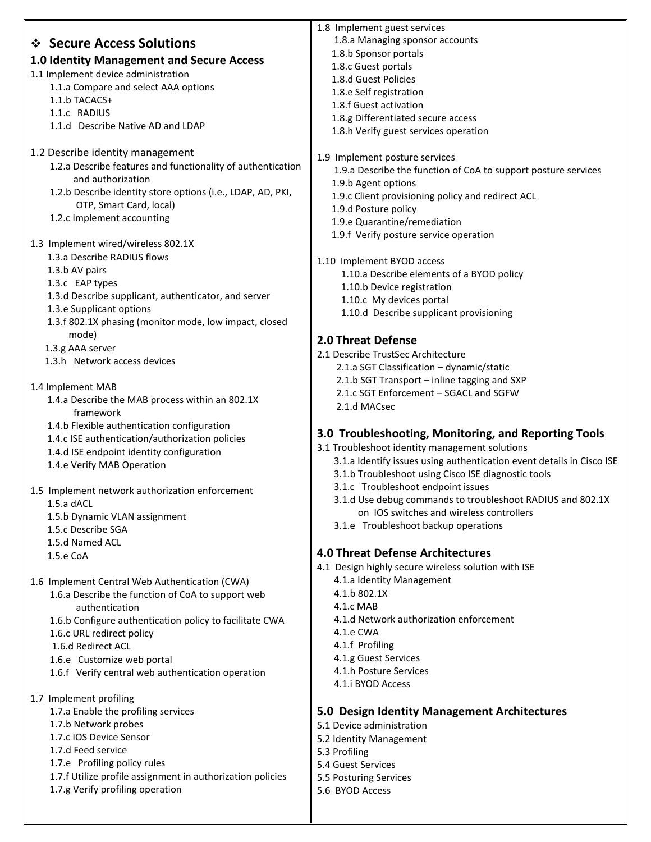|                                                                             | 1.8 Implement guest services                                          |  |  |
|-----------------------------------------------------------------------------|-----------------------------------------------------------------------|--|--|
| ❖ Secure Access Solutions                                                   | 1.8.a Managing sponsor accounts                                       |  |  |
| 1.0 Identity Management and Secure Access                                   | 1.8.b Sponsor portals                                                 |  |  |
|                                                                             | 1.8.c Guest portals                                                   |  |  |
| 1.1 Implement device administration<br>1.1.a Compare and select AAA options | 1.8.d Guest Policies                                                  |  |  |
| 1.1.b TACACS+                                                               | 1.8.e Self registration                                               |  |  |
| 1.1.c RADIUS                                                                | 1.8.f Guest activation                                                |  |  |
| 1.1.d Describe Native AD and LDAP                                           | 1.8.g Differentiated secure access                                    |  |  |
|                                                                             | 1.8.h Verify guest services operation                                 |  |  |
| 1.2 Describe identity management                                            |                                                                       |  |  |
| 1.2.a Describe features and functionality of authentication                 | 1.9 Implement posture services                                        |  |  |
| and authorization                                                           | 1.9.a Describe the function of CoA to support posture services        |  |  |
| 1.2.b Describe identity store options (i.e., LDAP, AD, PKI,                 | 1.9.b Agent options                                                   |  |  |
| OTP, Smart Card, local)                                                     | 1.9.c Client provisioning policy and redirect ACL                     |  |  |
| 1.2.c Implement accounting                                                  | 1.9.d Posture policy                                                  |  |  |
|                                                                             | 1.9.e Quarantine/remediation                                          |  |  |
| 1.3 Implement wired/wireless 802.1X                                         | 1.9.f Verify posture service operation                                |  |  |
| 1.3.a Describe RADIUS flows                                                 | 1.10 Implement BYOD access                                            |  |  |
| 1.3.b AV pairs                                                              | 1.10.a Describe elements of a BYOD policy                             |  |  |
| 1.3.c EAP types                                                             | 1.10.b Device registration                                            |  |  |
| 1.3.d Describe supplicant, authenticator, and server                        | 1.10.c My devices portal                                              |  |  |
| 1.3.e Supplicant options                                                    | 1.10.d Describe supplicant provisioning                               |  |  |
| 1.3.f 802.1X phasing (monitor mode, low impact, closed                      |                                                                       |  |  |
| mode)                                                                       | 2.0 Threat Defense                                                    |  |  |
| 1.3.g AAA server                                                            | 2.1 Describe TrustSec Architecture                                    |  |  |
| 1.3.h Network access devices                                                | 2.1.a SGT Classification - dynamic/static                             |  |  |
|                                                                             | 2.1.b SGT Transport - inline tagging and SXP                          |  |  |
| 1.4 Implement MAB                                                           | 2.1.c SGT Enforcement - SGACL and SGFW                                |  |  |
| 1.4.a Describe the MAB process within an 802.1X                             | 2.1.d MACsec                                                          |  |  |
| framework                                                                   |                                                                       |  |  |
| 1.4.b Flexible authentication configuration                                 | 3.0 Troubleshooting, Monitoring, and Reporting Tools                  |  |  |
| 1.4.c ISE authentication/authorization policies                             | 3.1 Troubleshoot identity management solutions                        |  |  |
| 1.4.d ISE endpoint identity configuration<br>1.4.e Verify MAB Operation     | 3.1.a Identify issues using authentication event details in Cisco ISE |  |  |
|                                                                             | 3.1.b Troubleshoot using Cisco ISE diagnostic tools                   |  |  |
| 1.5 Implement network authorization enforcement                             | 3.1.c Troubleshoot endpoint issues                                    |  |  |
| 1.5.a dACL                                                                  | 3.1.d Use debug commands to troubleshoot RADIUS and 802.1X            |  |  |
| 1.5.b Dynamic VLAN assignment                                               | on IOS switches and wireless controllers                              |  |  |
| 1.5.c Describe SGA                                                          | 3.1.e Troubleshoot backup operations                                  |  |  |
| 1.5.d Named ACL                                                             |                                                                       |  |  |
| 1.5.e CoA                                                                   | <b>4.0 Threat Defense Architectures</b>                               |  |  |
|                                                                             | 4.1 Design highly secure wireless solution with ISE                   |  |  |
| 1.6 Implement Central Web Authentication (CWA)                              | 4.1.a Identity Management                                             |  |  |
| 1.6.a Describe the function of CoA to support web                           | 4.1.b 802.1X                                                          |  |  |
| authentication                                                              | 4.1.c MAB                                                             |  |  |
| 1.6.b Configure authentication policy to facilitate CWA                     | 4.1.d Network authorization enforcement                               |  |  |
| 1.6.c URL redirect policy                                                   | 4.1.e CWA                                                             |  |  |
| 1.6.d Redirect ACL                                                          | 4.1.f Profiling                                                       |  |  |
| 1.6.e Customize web portal                                                  | 4.1.g Guest Services                                                  |  |  |
| 1.6.f Verify central web authentication operation                           | 4.1.h Posture Services                                                |  |  |
|                                                                             | 4.1.i BYOD Access                                                     |  |  |
| 1.7 Implement profiling                                                     |                                                                       |  |  |
| 1.7.a Enable the profiling services<br>1.7.b Network probes                 | 5.0 Design Identity Management Architectures                          |  |  |
| 1.7.c IOS Device Sensor                                                     | 5.1 Device administration                                             |  |  |
| 1.7.d Feed service                                                          | 5.2 Identity Management<br>5.3 Profiling                              |  |  |
| 1.7.e Profiling policy rules                                                | 5.4 Guest Services                                                    |  |  |
| 1.7.f Utilize profile assignment in authorization policies                  | 5.5 Posturing Services                                                |  |  |
| 1.7.g Verify profiling operation                                            | 5.6 BYOD Access                                                       |  |  |
|                                                                             |                                                                       |  |  |